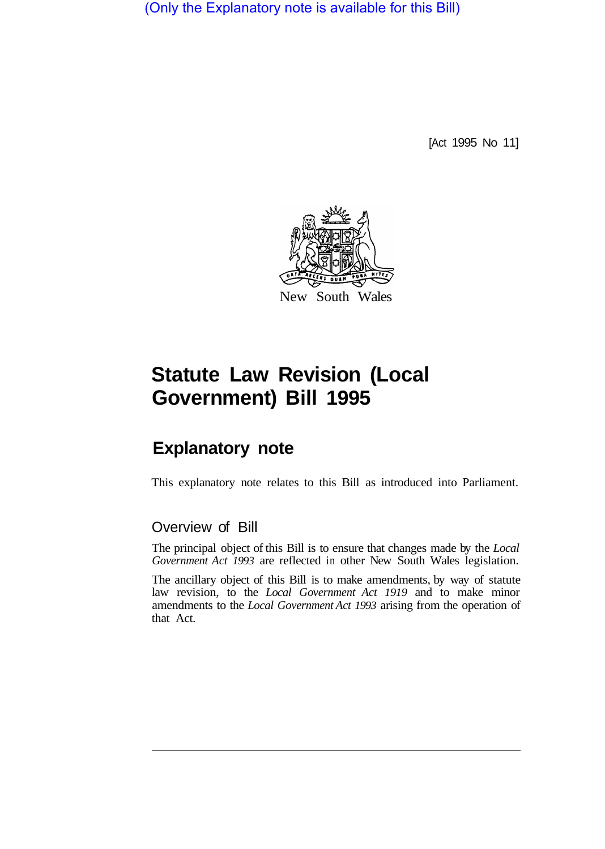(Only the Explanatory note is available for this Bill)

[Act 1995 No 11]



# **Statute Law Revision (Local Government) Bill 1995**

## **Explanatory note**

This explanatory note relates to this Bill as introduced into Parliament.

### Overview of Bill

The principal object of this Bill is to ensure that changes made by the *Local Government Act 1993* are reflected in other New South Wales legislation.

The ancillary object of this Bill is to make amendments, by way of statute law revision, to the *Local Government Act 1919* and to make minor amendments to the *Local Government Act 1993* arising from the operation of that Act.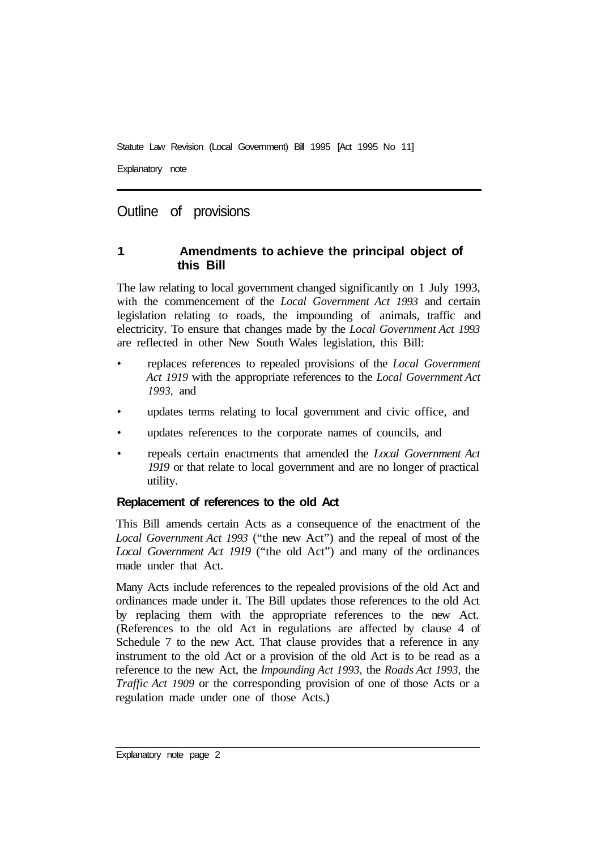Explanatory note

#### Outline of provisions

#### **1 Amendments to achieve the principal object of this Bill**

The law relating to local government changed significantly on 1 July 1993, with the commencement of the *Local Government Act 1993* and certain legislation relating to roads, the impounding of animals, traffic and electricity. To ensure that changes made by the *Local Government Act 1993*  are reflected in other New South Wales legislation, this Bill:

- replaces references to repealed provisions of the *Local Government Act 1919* with the appropriate references to the *Local Government Act 1993,* and
- updates terms relating to local government and civic office, and
- updates references to the corporate names of councils, and
- repeals certain enactments that amended the *Local Government Act 1919* or that relate to local government and are no longer of practical utility.

#### **Replacement of references to the old Act**

This Bill amends certain Acts as a consequence of the enactment of the *Local Government Act 1993* ("the new Act") and the repeal of most of the *Local Government Act 1919* ("the old Act") and many of the ordinances made under that Act.

Many Acts include references to the repealed provisions of the old Act and ordinances made under it. The Bill updates those references to the old Act by replacing them with the appropriate references to the new Act. (References to the old Act in regulations are affected by clause 4 of Schedule 7 to the new Act. That clause provides that a reference in any instrument to the old Act or a provision of the old Act is to be read as a reference to the new Act, the *Impounding Act 1993,* the *Roads Act 1993,* the *Traffic Act 1909* or the corresponding provision of one of those Acts or a regulation made under one of those Acts.)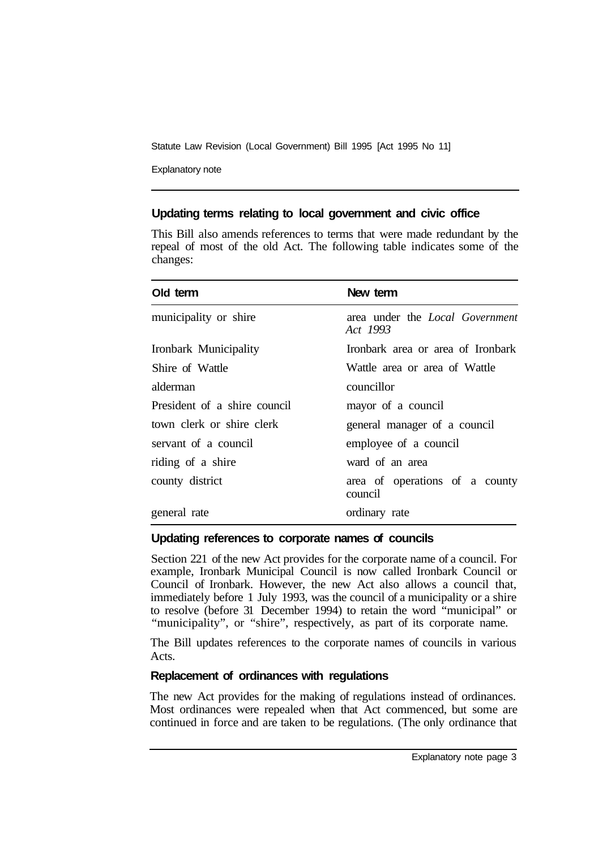Explanatory note

#### **Updating terms relating to local government and civic office**

This Bill also amends references to terms that were made redundant by the repeal of most of the old Act. The following table indicates some of the changes:

| Old term                     | New term                                           |
|------------------------------|----------------------------------------------------|
| municipality or shire        | area under the <i>Local Government</i><br>Act 1993 |
| Ironbark Municipality        | Ironbark area or area of Ironbark                  |
| Shire of Wattle              | Wattle area or area of Wattle                      |
| alderman                     | councillor                                         |
| President of a shire council | mayor of a council                                 |
| town clerk or shire clerk    | general manager of a council                       |
| servant of a council         | employee of a council                              |
| riding of a shire            | ward of an area                                    |
| county district              | area of operations of a county<br>council          |
| general rate                 | ordinary rate                                      |

#### **Updating references to corporate names of councils**

Section 221 of the new Act provides for the corporate name of a council. For example, Ironbark Municipal Council is now called Ironbark Council or Council of Ironbark. However, the new Act also allows a council that, immediately before 1 July 1993, was the council of a municipality or a shire to resolve (before 31 December 1994) to retain the word "municipal" or "municipality", or "shire", respectively, as part of its corporate name.

The Bill updates references to the corporate names of councils in various Acts.

#### **Replacement of ordinances with regulations**

The new Act provides for the making of regulations instead of ordinances. Most ordinances were repealed when that Act commenced, but some are continued in force and are taken to be regulations. (The only ordinance that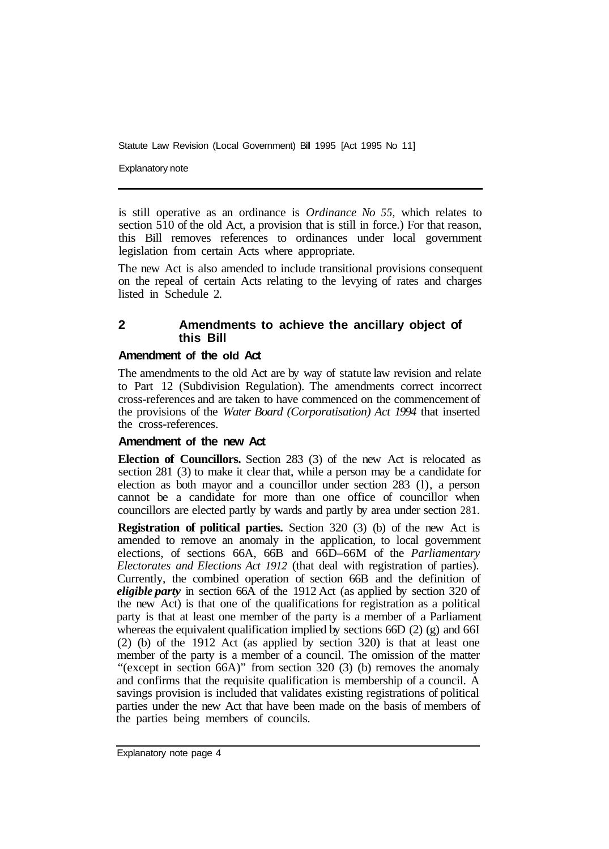Explanatory note

is still operative as an ordinance is *Ordinance No 55,* which relates to section 510 of the old Act, a provision that is still in force.) For that reason, this Bill removes references to ordinances under local government legislation from certain Acts where appropriate.

The new Act is also amended to include transitional provisions consequent on the repeal of certain Acts relating to the levying of rates and charges listed in Schedule 2.

#### **2 Amendments to achieve the ancillary object of this Bill**

#### **Amendment of the old Act**

The amendments to the old Act are by way of statute law revision and relate to Part 12 (Subdivision Regulation). The amendments correct incorrect cross-references and are taken to have commenced on the commencement of the provisions of the *Water Board (Corporatisation) Act 1994* that inserted the cross-references.

#### **Amendment of the new Act**

**Election of Councillors.** Section 283 (3) of the new Act is relocated as section 281 (3) to make it clear that, while a person may be a candidate for election as both mayor and a councillor under section 283 (l), a person cannot be a candidate for more than one office of councillor when councillors are elected partly by wards and partly by area under section 281.

**Registration of political parties.** Section 320 (3) (b) of the new Act is amended to remove an anomaly in the application, to local government elections, of sections 66A, 66B and 66D–66M of the *Parliamentary Electorates and Elections Act 1912* (that deal with registration of parties). Currently, the combined operation of section 66B and the definition of *eligible party* in section 66A of the 1912 Act (as applied by section 320 of the new Act) is that one of the qualifications for registration as a political party is that at least one member of the party is a member of a Parliament whereas the equivalent qualification implied by sections 66D (2) (g) and 66I (2) (b) of the 1912 Act (as applied by section 320) is that at least one member of the party is a member of a council. The omission of the matter "(except in section 66A)" from section 320 (3) (b) removes the anomaly and confirms that the requisite qualification is membership of a council. A savings provision is included that validates existing registrations of political parties under the new Act that have been made on the basis of members of the parties being members of councils.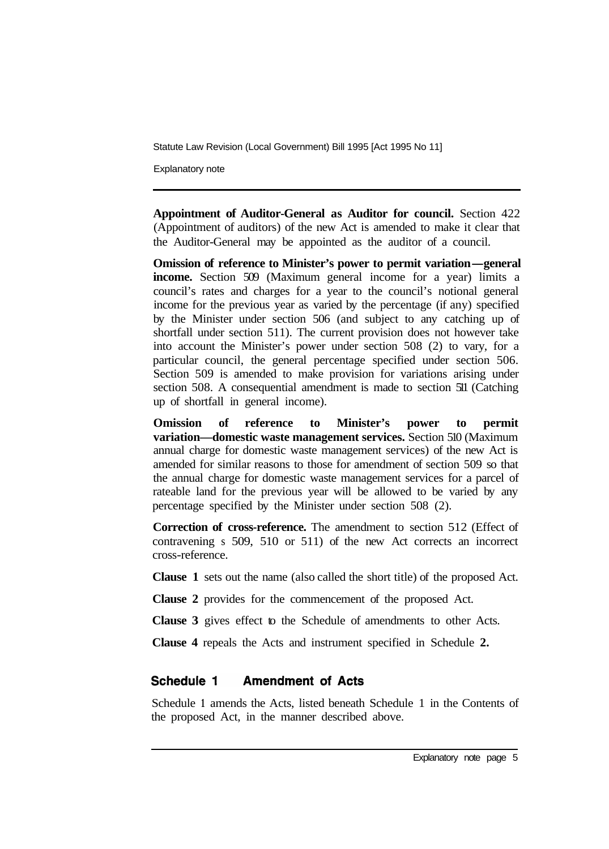Explanatory note

**Appointment of Auditor-General as Auditor for council.** Section 422 (Appointment of auditors) of the new Act is amended to make it clear that the Auditor-General may be appointed as the auditor of a council.

**Omission of reference to Minister's power to permit variation-general income.** Section 509 (Maximum general income for a year) limits a council's rates and charges for a year to the council's notional general income for the previous year as varied by the percentage (if any) specified by the Minister under section 506 (and subject to any catching up of shortfall under section 511). The current provision does not however take into account the Minister's power under section 508 (2) to vary, for a particular council, the general percentage specified under section 506. Section 509 is amended to make provision for variations arising under section 508. A consequential amendment is made to section 511 (Catching up of shortfall in general income).

**Omission of reference to Minister's power to permit variation—domestic waste management services.** Section 510 (Maximum annual charge for domestic waste management services) of the new Act is amended for similar reasons to those for amendment of section 509 so that the annual charge for domestic waste management services for a parcel of rateable land for the previous year will be allowed to be varied by any percentage specified by the Minister under section 508 (2).

**Correction of cross-reference.** The amendment to section 512 (Effect of contravening s 509, 510 or 511) of the new Act corrects an incorrect cross-reference.

**Clause 1** sets out the name (also called the short title) of the proposed Act.

**Clause 2** provides for the commencement of the proposed Act.

**Clause 3** gives effect to the Schedule of amendments to other Acts.

**Clause 4** repeals the Acts and instrument specified in Schedule **2.** 

#### Schedule 1 **Amendment of Acts**

Schedule **1** amends the Acts, listed beneath Schedule 1 in the Contents of the proposed Act, in the manner described above.